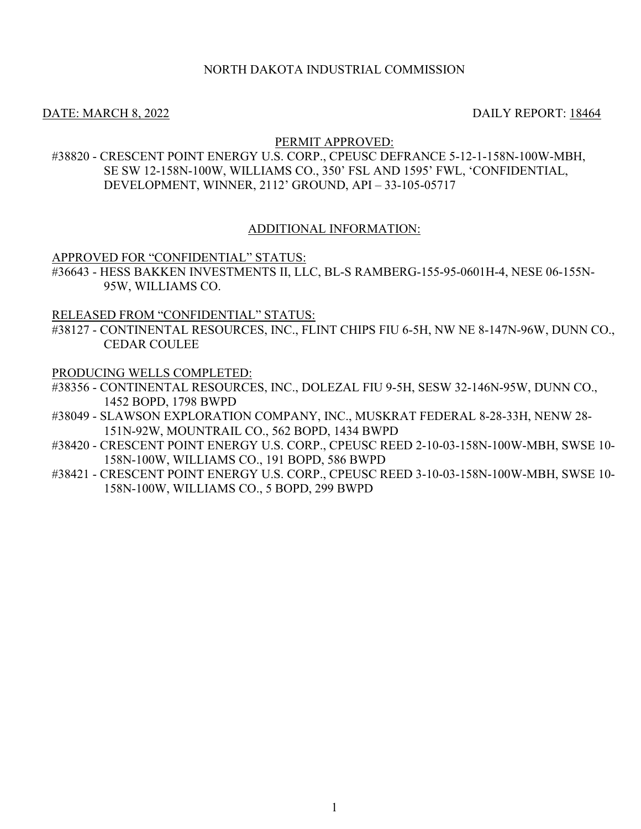## NORTH DAKOTA INDUSTRIAL COMMISSION

DATE: MARCH 8, 2022 2003 2004 12:30 DAILY REPORT: 18464

### PERMIT APPROVED:

#38820 - CRESCENT POINT ENERGY U.S. CORP., CPEUSC DEFRANCE 5-12-1-158N-100W-MBH, SE SW 12-158N-100W, WILLIAMS CO., 350' FSL AND 1595' FWL, 'CONFIDENTIAL, DEVELOPMENT, WINNER, 2112' GROUND, API – 33-105-05717

### ADDITIONAL INFORMATION:

APPROVED FOR "CONFIDENTIAL" STATUS:

#36643 - HESS BAKKEN INVESTMENTS II, LLC, BL-S RAMBERG-155-95-0601H-4, NESE 06-155N-95W, WILLIAMS CO.

RELEASED FROM "CONFIDENTIAL" STATUS:

#38127 - CONTINENTAL RESOURCES, INC., FLINT CHIPS FIU 6-5H, NW NE 8-147N-96W, DUNN CO., CEDAR COULEE

PRODUCING WELLS COMPLETED:

- #38356 CONTINENTAL RESOURCES, INC., DOLEZAL FIU 9-5H, SESW 32-146N-95W, DUNN CO., 1452 BOPD, 1798 BWPD
- #38049 SLAWSON EXPLORATION COMPANY, INC., MUSKRAT FEDERAL 8-28-33H, NENW 28- 151N-92W, MOUNTRAIL CO., 562 BOPD, 1434 BWPD
- #38420 CRESCENT POINT ENERGY U.S. CORP., CPEUSC REED 2-10-03-158N-100W-MBH, SWSE 10- 158N-100W, WILLIAMS CO., 191 BOPD, 586 BWPD
- #38421 CRESCENT POINT ENERGY U.S. CORP., CPEUSC REED 3-10-03-158N-100W-MBH, SWSE 10- 158N-100W, WILLIAMS CO., 5 BOPD, 299 BWPD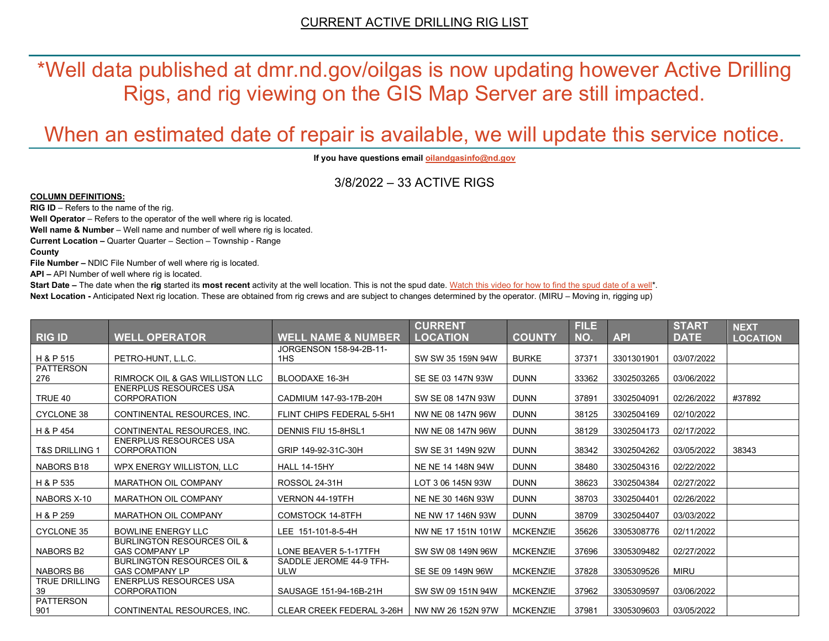\*Well data published at dmr.nd.gov/oilgas is now updating however Active Drilling Rigs, and rig viewing on the GIS Map Server are still impacted.

# When an estimated date of repair is available, we will update this service notice.

**If you have questions emai[l oilandgasinfo@nd.gov](mailto:oilandgasinfo@nd.gov)**

3/8/2022 – 33 ACTIVE RIGS

#### **COLUMN DEFINITIONS:**

**RIG ID** – Refers to the name of the rig.

**Well Operator** – Refers to the operator of the well where rig is located.

**Well name & Number** – Well name and number of well where rig is located.

**Current Location –** Quarter Quarter – Section – Township - Range

**County**

**File Number –** NDIC File Number of well where rig is located.

**API –** API Number of well where rig is located.

**Start Date** – The date when the **rig** started its most recent activity at the well location. This is not the spud date. Watch this video for how [to find the spud date of a well\\*](https://youtu.be/JjWwzuuMVpM). **Next Location -** Anticipated Next rig location. These are obtained from rig crews and are subject to changes determined by the operator. (MIRU – Moving in, rigging up)

|                            |                                                                |                                            | <b>CURRENT</b>     |                 | <b>FILE</b> |            | <b>START</b> | <b>NEXT</b>     |
|----------------------------|----------------------------------------------------------------|--------------------------------------------|--------------------|-----------------|-------------|------------|--------------|-----------------|
| <b>RIG ID</b>              | <b>WELL OPERATOR</b>                                           | <b>WELL NAME &amp; NUMBER</b>              | <b>LOCATION</b>    | <b>COUNTY</b>   | NO.         | <b>API</b> | <b>DATE</b>  | <b>LOCATION</b> |
| H & P 515                  | PETRO-HUNT, L.L.C.                                             | JORGENSON 158-94-2B-11-<br>1H <sub>S</sub> | SW SW 35 159N 94W  | <b>BURKE</b>    | 37371       | 3301301901 | 03/07/2022   |                 |
| <b>PATTERSON</b>           |                                                                |                                            |                    |                 |             |            |              |                 |
| 276                        | RIMROCK OIL & GAS WILLISTON LLC                                | BLOODAXE 16-3H                             | SE SE 03 147N 93W  | <b>DUNN</b>     | 33362       | 3302503265 | 03/06/2022   |                 |
| TRUE 40                    | <b>ENERPLUS RESOURCES USA</b><br><b>CORPORATION</b>            | CADMIUM 147-93-17B-20H                     | SW SE 08 147N 93W  | <b>DUNN</b>     | 37891       | 3302504091 | 02/26/2022   | #37892          |
| <b>CYCLONE 38</b>          | CONTINENTAL RESOURCES. INC.                                    | FLINT CHIPS FEDERAL 5-5H1                  | NW NE 08 147N 96W  | <b>DUNN</b>     | 38125       | 3302504169 | 02/10/2022   |                 |
| H & P 454                  | CONTINENTAL RESOURCES. INC.                                    | DENNIS FIU 15-8HSL1                        | NW NE 08 147N 96W  | <b>DUNN</b>     | 38129       | 3302504173 | 02/17/2022   |                 |
| T&S DRILLING 1             | <b>ENERPLUS RESOURCES USA</b><br><b>CORPORATION</b>            | GRIP 149-92-31C-30H                        | SW SE 31 149N 92W  | <b>DUNN</b>     | 38342       | 3302504262 | 03/05/2022   | 38343           |
| NABORS B18                 | WPX ENERGY WILLISTON, LLC                                      | <b>HALL 14-15HY</b>                        | NE NE 14 148N 94W  | <b>DUNN</b>     | 38480       | 3302504316 | 02/22/2022   |                 |
| H & P 535                  | <b>MARATHON OIL COMPANY</b>                                    | ROSSOL 24-31H                              | LOT 3 06 145N 93W  | <b>DUNN</b>     | 38623       | 3302504384 | 02/27/2022   |                 |
| NABORS X-10                | <b>MARATHON OIL COMPANY</b>                                    | VERNON 44-19TFH                            | NE NE 30 146N 93W  | <b>DUNN</b>     | 38703       | 3302504401 | 02/26/2022   |                 |
| H & P 259                  | <b>MARATHON OIL COMPANY</b>                                    | <b>COMSTOCK 14-8TFH</b>                    | NE NW 17 146N 93W  | <b>DUNN</b>     | 38709       | 3302504407 | 03/03/2022   |                 |
| <b>CYCLONE 35</b>          | <b>BOWLINE ENERGY LLC</b>                                      | LEE 151-101-8-5-4H                         | NW NE 17 151N 101W | <b>MCKENZIE</b> | 35626       | 3305308776 | 02/11/2022   |                 |
| <b>NABORS B2</b>           | <b>BURLINGTON RESOURCES OIL &amp;</b><br><b>GAS COMPANY LP</b> | LONE BEAVER 5-1-17TFH                      | SW SW 08 149N 96W  | <b>MCKENZIE</b> | 37696       | 3305309482 | 02/27/2022   |                 |
| <b>NABORS B6</b>           | <b>BURLINGTON RESOURCES OIL &amp;</b><br><b>GAS COMPANY LP</b> | SADDLE JEROME 44-9 TFH-<br><b>ULW</b>      | SE SE 09 149N 96W  | <b>MCKENZIE</b> | 37828       | 3305309526 | <b>MIRU</b>  |                 |
| <b>TRUE DRILLING</b><br>39 | <b>ENERPLUS RESOURCES USA</b><br><b>CORPORATION</b>            | SAUSAGE 151-94-16B-21H                     | SW SW 09 151N 94W  | <b>MCKENZIE</b> | 37962       | 3305309597 | 03/06/2022   |                 |
| PATTERSON<br>901           | CONTINENTAL RESOURCES. INC.                                    | <b>CLEAR CREEK FEDERAL 3-26H</b>           | NW NW 26 152N 97W  | <b>MCKENZIE</b> | 37981       | 3305309603 | 03/05/2022   |                 |